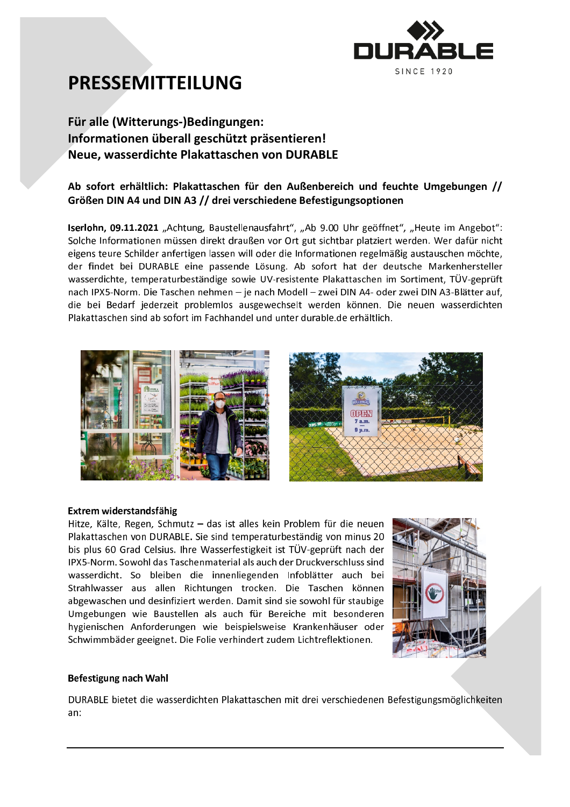

# **PRESSEMITTEILUNG**

### Für alle (Witterungs-)Bedingungen: Informationen überall geschützt präsentieren! Neue, wasserdichte Plakattaschen von DURABLE

### Ab sofort erhältlich: Plakattaschen für den Außenbereich und feuchte Umgebungen // Größen DIN A4 und DIN A3 // drei verschiedene Befestigungsoptionen

Iserlohn, 09.11.2021 "Achtung, Baustellenausfahrt", "Ab 9.00 Uhr geöffnet", "Heute im Angebot": Solche Informationen müssen direkt draußen vor Ort gut sichtbar platziert werden. Wer dafür nicht eigens teure Schilder anfertigen lassen will oder die Informationen regelmäßig austauschen möchte, der findet bei DURABLE eine passende Lösung. Ab sofort hat der deutsche Markenhersteller wasserdichte, temperaturbeständige sowie UV-resistente Plakattaschen im Sortiment, TÜV-geprüft nach IPX5-Norm. Die Taschen nehmen - je nach Modell - zwei DIN A4- oder zwei DIN A3-Blätter auf, die bei Bedarf jederzeit problemlos ausgewechselt werden können. Die neuen wasserdichten Plakattaschen sind ab sofort im Fachhandel und unter durable. de erhältlich.





#### Extrem widerstandsfähig

Hitze, Kälte, Regen, Schmutz - das ist alles kein Problem für die neuen Plakattaschen von DURABLE. Sie sind temperaturbeständig von minus 20 bis plus 60 Grad Celsius. Ihre Wasserfestigkeit ist TÜV-geprüft nach der IPX5-Norm, Sowohl das Taschenmaterial als auch der Druckverschluss sind wasserdicht. So bleiben die innenliegenden Infoblätter auch bei Strahlwasser aus allen Richtungen trocken. Die Taschen können abgewaschen und desinfiziert werden. Damit sind sie sowohl für staubige Umgebungen wie Baustellen als auch für Bereiche mit besonderen hygienischen Anforderungen wie beispielsweise Krankenhäuser oder Schwimmbäder geeignet. Die Folie verhindert zudem Lichtreflektionen.



#### Befestigung nach Wahl

DURABLE bietet die wasserdichten Plakattaschen mit drei verschiedenen Befestigungsmöglichkeiten an: